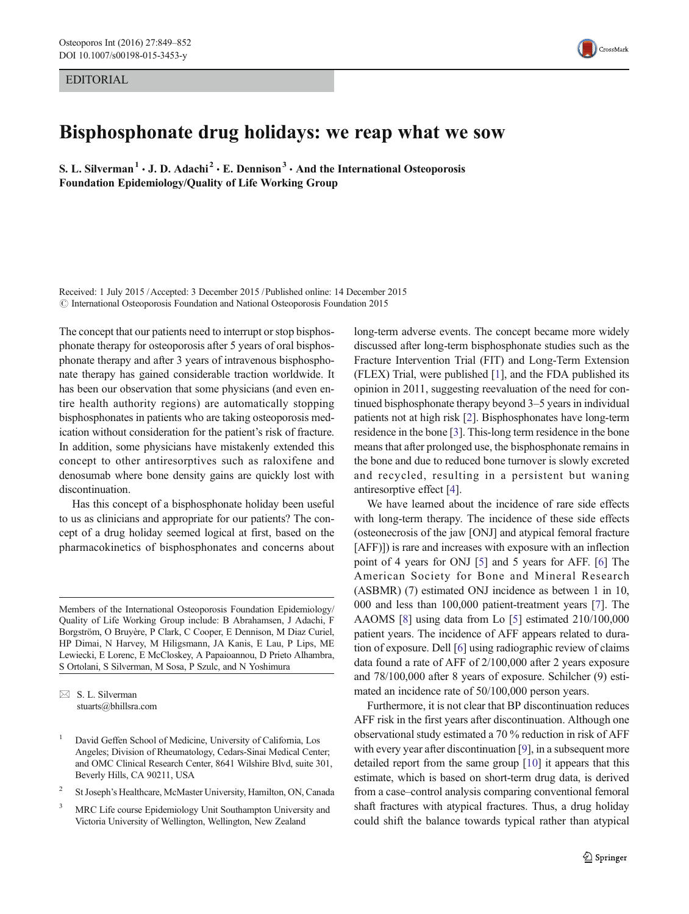EDITORIAL



## Bisphosphonate drug holidays: we reap what we sow

S. L. Silverman<sup>1</sup>  $\cdot$  J. D. Adachi<sup>2</sup>  $\cdot$  E. Dennison<sup>3</sup>  $\cdot$  And the International Osteoporosis Foundation Epidemiology/Quality of Life Working Group

Received: 1 July 2015 /Accepted: 3 December 2015 /Published online: 14 December 2015 © International Osteoporosis Foundation and National Osteoporosis Foundation 2015

The concept that our patients need to interrupt or stop bisphosphonate therapy for osteoporosis after 5 years of oral bisphosphonate therapy and after 3 years of intravenous bisphosphonate therapy has gained considerable traction worldwide. It has been our observation that some physicians (and even entire health authority regions) are automatically stopping bisphosphonates in patients who are taking osteoporosis medication without consideration for the patient's risk of fracture. In addition, some physicians have mistakenly extended this concept to other antiresorptives such as raloxifene and denosumab where bone density gains are quickly lost with discontinuation.

Has this concept of a bisphosphonate holiday been useful to us as clinicians and appropriate for our patients? The concept of a drug holiday seemed logical at first, based on the pharmacokinetics of bisphosphonates and concerns about

Members of the International Osteoporosis Foundation Epidemiology/ Quality of Life Working Group include: B Abrahamsen, J Adachi, F Borgström, O Bruyère, P Clark, C Cooper, E Dennison, M Diaz Curiel, HP Dimai, N Harvey, M Hiligsmann, JA Kanis, E Lau, P Lips, ME Lewiecki, E Lorenc, E McCloskey, A Papaioannou, D Prieto Alhambra, S Ortolani, S Silverman, M Sosa, P Szulc, and N Yoshimura

 $\boxtimes$  S. L. Silverman stuarts@bhillsra.com

- <sup>2</sup> St Joseph's Healthcare, McMaster University, Hamilton, ON, Canada
- <sup>3</sup> MRC Life course Epidemiology Unit Southampton University and Victoria University of Wellington, Wellington, New Zealand

long-term adverse events. The concept became more widely discussed after long-term bisphosphonate studies such as the Fracture Intervention Trial (FIT) and Long-Term Extension (FLEX) Trial, were published [\[1\]](#page-2-0), and the FDA published its opinion in 2011, suggesting reevaluation of the need for continued bisphosphonate therapy beyond 3–5 years in individual patients not at high risk [[2](#page-2-0)]. Bisphosphonates have long-term residence in the bone [\[3\]](#page-2-0). This-long term residence in the bone means that after prolonged use, the bisphosphonate remains in the bone and due to reduced bone turnover is slowly excreted and recycled, resulting in a persistent but waning antiresorptive effect [\[4\]](#page-2-0).

We have learned about the incidence of rare side effects with long-term therapy. The incidence of these side effects (osteonecrosis of the jaw [ONJ] and atypical femoral fracture [AFF)]) is rare and increases with exposure with an inflection point of 4 years for ONJ [[5\]](#page-2-0) and 5 years for AFF. [\[6](#page-2-0)] The American Society for Bone and Mineral Research (ASBMR) (7) estimated ONJ incidence as between 1 in 10, 000 and less than 100,000 patient-treatment years [[7\]](#page-2-0). The AAOMS [\[8\]](#page-2-0) using data from Lo [\[5](#page-2-0)] estimated 210/100,000 patient years. The incidence of AFF appears related to duration of exposure. Dell [\[6](#page-2-0)] using radiographic review of claims data found a rate of AFF of 2/100,000 after 2 years exposure and 78/100,000 after 8 years of exposure. Schilcher (9) estimated an incidence rate of 50/100,000 person years.

Furthermore, it is not clear that BP discontinuation reduces AFF risk in the first years after discontinuation. Although one observational study estimated a 70 % reduction in risk of AFF with every year after discontinuation [\[9\]](#page-2-0), in a subsequent more detailed report from the same group [\[10\]](#page-2-0) it appears that this estimate, which is based on short-term drug data, is derived from a case–control analysis comparing conventional femoral shaft fractures with atypical fractures. Thus, a drug holiday could shift the balance towards typical rather than atypical

<sup>&</sup>lt;sup>1</sup> David Geffen School of Medicine, University of California, Los Angeles; Division of Rheumatology, Cedars-Sinai Medical Center; and OMC Clinical Research Center, 8641 Wilshire Blvd, suite 301, Beverly Hills, CA 90211, USA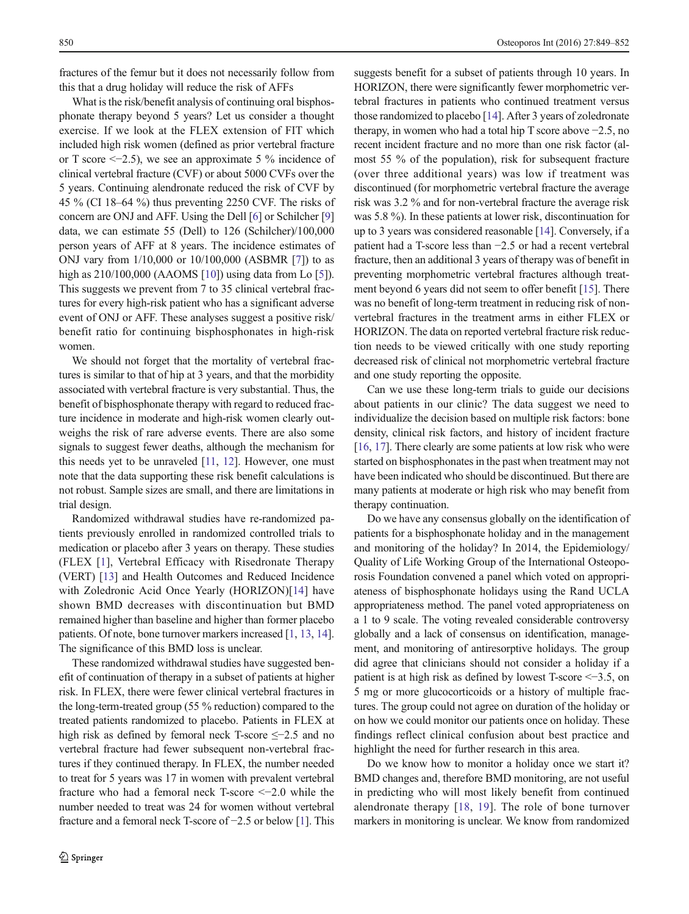fractures of the femur but it does not necessarily follow from this that a drug holiday will reduce the risk of AFFs

What is the risk/benefit analysis of continuing oral bisphosphonate therapy beyond 5 years? Let us consider a thought exercise. If we look at the FLEX extension of FIT which included high risk women (defined as prior vertebral fracture or T score  $\leq$  -2.5), we see an approximate 5 % incidence of clinical vertebral fracture (CVF) or about 5000 CVFs over the 5 years. Continuing alendronate reduced the risk of CVF by 45 % (CI 18–64 %) thus preventing 2250 CVF. The risks of concern are ONJ and AFF. Using the Dell [\[6](#page-2-0)] or Schilcher [\[9\]](#page-2-0) data, we can estimate 55 (Dell) to 126 (Schilcher)/100,000 person years of AFF at 8 years. The incidence estimates of ONJ vary from 1/10,000 or 10/100,000 (ASBMR [[7\]](#page-2-0)) to as high as 210/100,000 (AAOMS [\[10\]](#page-2-0)) using data from Lo [[5](#page-2-0)]). This suggests we prevent from 7 to 35 clinical vertebral fractures for every high-risk patient who has a significant adverse event of ONJ or AFF. These analyses suggest a positive risk/ benefit ratio for continuing bisphosphonates in high-risk women.

We should not forget that the mortality of vertebral fractures is similar to that of hip at 3 years, and that the morbidity associated with vertebral fracture is very substantial. Thus, the benefit of bisphosphonate therapy with regard to reduced fracture incidence in moderate and high-risk women clearly outweighs the risk of rare adverse events. There are also some signals to suggest fewer deaths, although the mechanism for this needs yet to be unraveled [\[11,](#page-2-0) [12\]](#page-2-0). However, one must note that the data supporting these risk benefit calculations is not robust. Sample sizes are small, and there are limitations in trial design.

Randomized withdrawal studies have re-randomized patients previously enrolled in randomized controlled trials to medication or placebo after 3 years on therapy. These studies (FLEX [[1\]](#page-2-0), Vertebral Efficacy with Risedronate Therapy (VERT) [\[13\]](#page-2-0) and Health Outcomes and Reduced Incidence with Zoledronic Acid Once Yearly (HORIZON)[\[14](#page-2-0)] have shown BMD decreases with discontinuation but BMD remained higher than baseline and higher than former placebo patients. Of note, bone turnover markers increased [[1,](#page-2-0) [13](#page-2-0), [14\]](#page-2-0). The significance of this BMD loss is unclear.

These randomized withdrawal studies have suggested benefit of continuation of therapy in a subset of patients at higher risk. In FLEX, there were fewer clinical vertebral fractures in the long-term-treated group (55 % reduction) compared to the treated patients randomized to placebo. Patients in FLEX at high risk as defined by femoral neck T-score ≤−2.5 and no vertebral fracture had fewer subsequent non-vertebral fractures if they continued therapy. In FLEX, the number needed to treat for 5 years was 17 in women with prevalent vertebral fracture who had a femoral neck T-score <−2.0 while the number needed to treat was 24 for women without vertebral fracture and a femoral neck T-score of −2.5 or below [\[1](#page-2-0)]. This suggests benefit for a subset of patients through 10 years. In HORIZON, there were significantly fewer morphometric vertebral fractures in patients who continued treatment versus those randomized to placebo [[14\]](#page-2-0). After 3 years of zoledronate therapy, in women who had a total hip T score above −2.5, no recent incident fracture and no more than one risk factor (almost 55 % of the population), risk for subsequent fracture (over three additional years) was low if treatment was discontinued (for morphometric vertebral fracture the average risk was 3.2 % and for non-vertebral fracture the average risk was 5.8 %). In these patients at lower risk, discontinuation for up to 3 years was considered reasonable [\[14\]](#page-2-0). Conversely, if a patient had a T-score less than −2.5 or had a recent vertebral fracture, then an additional 3 years of therapy was of benefit in preventing morphometric vertebral fractures although treatment beyond 6 years did not seem to offer benefit [\[15\]](#page-2-0). There was no benefit of long-term treatment in reducing risk of nonvertebral fractures in the treatment arms in either FLEX or HORIZON. The data on reported vertebral fracture risk reduction needs to be viewed critically with one study reporting decreased risk of clinical not morphometric vertebral fracture and one study reporting the opposite.

Can we use these long-term trials to guide our decisions about patients in our clinic? The data suggest we need to individualize the decision based on multiple risk factors: bone density, clinical risk factors, and history of incident fracture [\[16](#page-2-0), [17\]](#page-2-0). There clearly are some patients at low risk who were started on bisphosphonates in the past when treatment may not have been indicated who should be discontinued. But there are many patients at moderate or high risk who may benefit from therapy continuation.

Do we have any consensus globally on the identification of patients for a bisphosphonate holiday and in the management and monitoring of the holiday? In 2014, the Epidemiology/ Quality of Life Working Group of the International Osteoporosis Foundation convened a panel which voted on appropriateness of bisphosphonate holidays using the Rand UCLA appropriateness method. The panel voted appropriateness on a 1 to 9 scale. The voting revealed considerable controversy globally and a lack of consensus on identification, management, and monitoring of antiresorptive holidays. The group did agree that clinicians should not consider a holiday if a patient is at high risk as defined by lowest T-score <−3.5, on 5 mg or more glucocorticoids or a history of multiple fractures. The group could not agree on duration of the holiday or on how we could monitor our patients once on holiday. These findings reflect clinical confusion about best practice and highlight the need for further research in this area.

Do we know how to monitor a holiday once we start it? BMD changes and, therefore BMD monitoring, are not useful in predicting who will most likely benefit from continued alendronate therapy [[18](#page-3-0), [19](#page-3-0)]. The role of bone turnover markers in monitoring is unclear. We know from randomized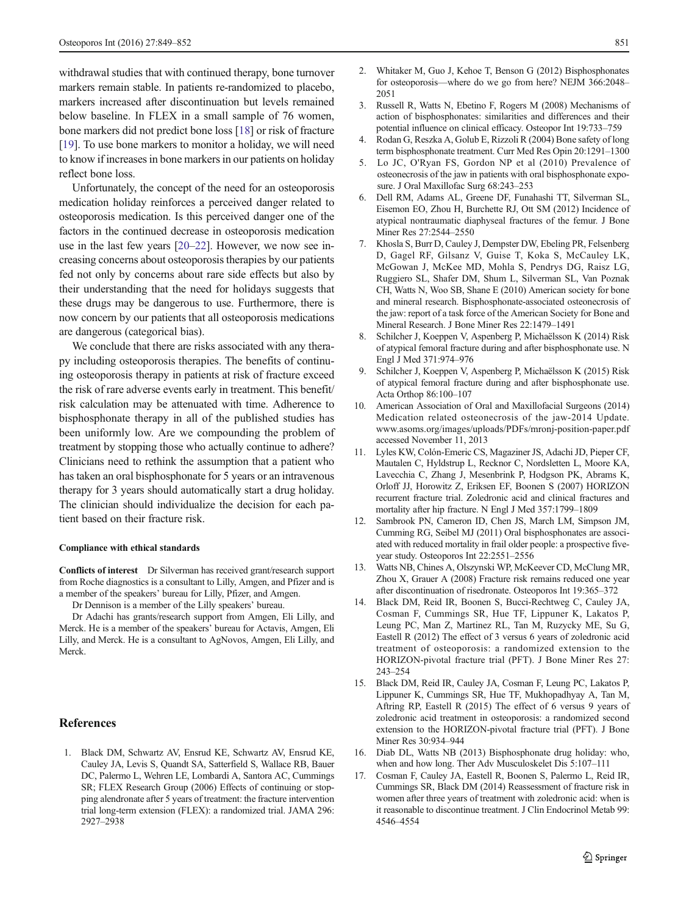<span id="page-2-0"></span>withdrawal studies that with continued therapy, bone turnover markers remain stable. In patients re-randomized to placebo, markers increased after discontinuation but levels remained below baseline. In FLEX in a small sample of 76 women, bone markers did not predict bone loss [\[18](#page-3-0)] or risk of fracture [\[19\]](#page-3-0). To use bone markers to monitor a holiday, we will need to know if increases in bone markers in our patients on holiday reflect bone loss.

Unfortunately, the concept of the need for an osteoporosis medication holiday reinforces a perceived danger related to osteoporosis medication. Is this perceived danger one of the factors in the continued decrease in osteoporosis medication use in the last few years [\[20](#page-3-0)–[22](#page-3-0)]. However, we now see increasing concerns about osteoporosis therapies by our patients fed not only by concerns about rare side effects but also by their understanding that the need for holidays suggests that these drugs may be dangerous to use. Furthermore, there is now concern by our patients that all osteoporosis medications are dangerous (categorical bias).

We conclude that there are risks associated with any therapy including osteoporosis therapies. The benefits of continuing osteoporosis therapy in patients at risk of fracture exceed the risk of rare adverse events early in treatment. This benefit/ risk calculation may be attenuated with time. Adherence to bisphosphonate therapy in all of the published studies has been uniformly low. Are we compounding the problem of treatment by stopping those who actually continue to adhere? Clinicians need to rethink the assumption that a patient who has taken an oral bisphosphonate for 5 years or an intravenous therapy for 3 years should automatically start a drug holiday. The clinician should individualize the decision for each patient based on their fracture risk.

## Compliance with ethical standards

Conflicts of interest Dr Silverman has received grant/research support from Roche diagnostics is a consultant to Lilly, Amgen, and Pfizer and is a member of the speakers' bureau for Lilly, Pfizer, and Amgen.

Dr Dennison is a member of the Lilly speakers' bureau.

Dr Adachi has grants/research support from Amgen, Eli Lilly, and Merck. He is a member of the speakers' bureau for Actavis, Amgen, Eli Lilly, and Merck. He is a consultant to AgNovos, Amgen, Eli Lilly, and Merck.

## References

1. Black DM, Schwartz AV, Ensrud KE, Schwartz AV, Ensrud KE, Cauley JA, Levis S, Quandt SA, Satterfield S, Wallace RB, Bauer DC, Palermo L, Wehren LE, Lombardi A, Santora AC, Cummings SR; FLEX Research Group (2006) Effects of continuing or stopping alendronate after 5 years of treatment: the fracture intervention trial long-term extension (FLEX): a randomized trial. JAMA 296: 2927–2938

- 2. Whitaker M, Guo J, Kehoe T, Benson G (2012) Bisphosphonates for osteoporosis—where do we go from here? NEJM 366:2048– 2051
- 3. Russell R, Watts N, Ebetino F, Rogers M (2008) Mechanisms of action of bisphosphonates: similarities and differences and their potential influence on clinical efficacy. Osteopor Int 19:733–759
- 4. Rodan G, Reszka A, Golub E, Rizzoli R (2004) Bone safety of long term bisphosphonate treatment. Curr Med Res Opin 20:1291–1300
- 5. Lo JC, O'Ryan FS, Gordon NP et al (2010) Prevalence of osteonecrosis of the jaw in patients with oral bisphosphonate exposure. J Oral Maxillofac Surg 68:243–253
- 6. Dell RM, Adams AL, Greene DF, Funahashi TT, Silverman SL, Eisemon EO, Zhou H, Burchette RJ, Ott SM (2012) Incidence of atypical nontraumatic diaphyseal fractures of the femur. J Bone Miner Res 27:2544–2550
- 7. Khosla S, Burr D, Cauley J, Dempster DW, Ebeling PR, Felsenberg D, Gagel RF, Gilsanz V, Guise T, Koka S, McCauley LK, McGowan J, McKee MD, Mohla S, Pendrys DG, Raisz LG, Ruggiero SL, Shafer DM, Shum L, Silverman SL, Van Poznak CH, Watts N, Woo SB, Shane E (2010) American society for bone and mineral research. Bisphosphonate-associated osteonecrosis of the jaw: report of a task force of the American Society for Bone and Mineral Research. J Bone Miner Res 22:1479–1491
- 8. Schilcher J, Koeppen V, Aspenberg P, Michaëlsson K (2014) Risk of atypical femoral fracture during and after bisphosphonate use. N Engl J Med 371:974–976
- 9. Schilcher J, Koeppen V, Aspenberg P, Michaëlsson K (2015) Risk of atypical femoral fracture during and after bisphosphonate use. Acta Orthop 86:100–107
- 10. American Association of Oral and Maxillofacial Surgeons (2014) Medication related osteonecrosis of the jaw-2014 Update. www.asoms.org/images/uploads/PDFs/mronj-position-paper.pdf accessed November 11, 2013
- 11. Lyles KW, Colón-Emeric CS, Magaziner JS, Adachi JD, Pieper CF, Mautalen C, Hyldstrup L, Recknor C, Nordsletten L, Moore KA, Lavecchia C, Zhang J, Mesenbrink P, Hodgson PK, Abrams K, Orloff JJ, Horowitz Z, Eriksen EF, Boonen S (2007) HORIZON recurrent fracture trial. Zoledronic acid and clinical fractures and mortality after hip fracture. N Engl J Med 357:1799–1809
- 12. Sambrook PN, Cameron ID, Chen JS, March LM, Simpson JM, Cumming RG, Seibel MJ (2011) Oral bisphosphonates are associated with reduced mortality in frail older people: a prospective fiveyear study. Osteoporos Int 22:2551–2556
- 13. Watts NB, Chines A, Olszynski WP, McKeever CD, McClung MR, Zhou X, Grauer A (2008) Fracture risk remains reduced one year after discontinuation of risedronate. Osteoporos Int 19:365–372
- 14. Black DM, Reid IR, Boonen S, Bucci-Rechtweg C, Cauley JA, Cosman F, Cummings SR, Hue TF, Lippuner K, Lakatos P, Leung PC, Man Z, Martinez RL, Tan M, Ruzycky ME, Su G, Eastell R (2012) The effect of 3 versus 6 years of zoledronic acid treatment of osteoporosis: a randomized extension to the HORIZON-pivotal fracture trial (PFT). J Bone Miner Res 27: 243–254
- 15. Black DM, Reid IR, Cauley JA, Cosman F, Leung PC, Lakatos P, Lippuner K, Cummings SR, Hue TF, Mukhopadhyay A, Tan M, Aftring RP, Eastell R (2015) The effect of 6 versus 9 years of zoledronic acid treatment in osteoporosis: a randomized second extension to the HORIZON-pivotal fracture trial (PFT). J Bone Miner Res 30:934–944
- 16. Diab DL, Watts NB (2013) Bisphosphonate drug holiday: who, when and how long. Ther Adv Musculoskelet Dis 5:107–111
- 17. Cosman F, Cauley JA, Eastell R, Boonen S, Palermo L, Reid IR, Cummings SR, Black DM (2014) Reassessment of fracture risk in women after three years of treatment with zoledronic acid: when is it reasonable to discontinue treatment. J Clin Endocrinol Metab 99: 4546–4554